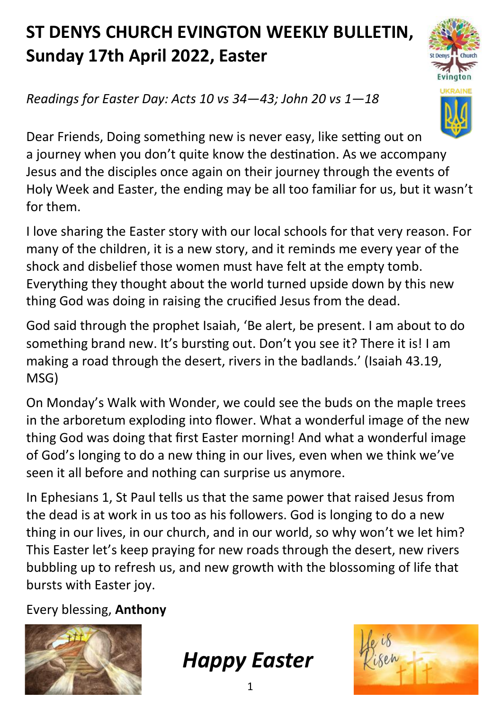## **ST DENYS CHURCH EVINGTON WEEKLY BULLETIN, Sunday 17th April 2022, Easter**



*Readings for Easter Day: Acts 10 vs 34—43; John 20 vs 1—18*

Dear Friends, Doing something new is never easy, like setting out on a journey when you don't quite know the destination. As we accompany Jesus and the disciples once again on their journey through the events of Holy Week and Easter, the ending may be all too familiar for us, but it wasn't for them.

I love sharing the Easter story with our local schools for that very reason. For many of the children, it is a new story, and it reminds me every year of the shock and disbelief those women must have felt at the empty tomb. Everything they thought about the world turned upside down by this new thing God was doing in raising the crucified Jesus from the dead.

God said through the prophet Isaiah, 'Be alert, be present. I am about to do something brand new. It's bursting out. Don't you see it? There it is! I am making a road through the desert, rivers in the badlands.' (Isaiah 43.19, MSG)

On Monday's Walk with Wonder, we could see the buds on the maple trees in the arboretum exploding into flower. What a wonderful image of the new thing God was doing that first Easter morning! And what a wonderful image of God's longing to do a new thing in our lives, even when we think we've seen it all before and nothing can surprise us anymore.

In Ephesians 1, St Paul tells us that the same power that raised Jesus from the dead is at work in us too as his followers. God is longing to do a new thing in our lives, in our church, and in our world, so why won't we let him? This Easter let's keep praying for new roads through the desert, new rivers bubbling up to refresh us, and new growth with the blossoming of life that bursts with Easter joy.

Every blessing, **Anthony**



*Happy Easter*

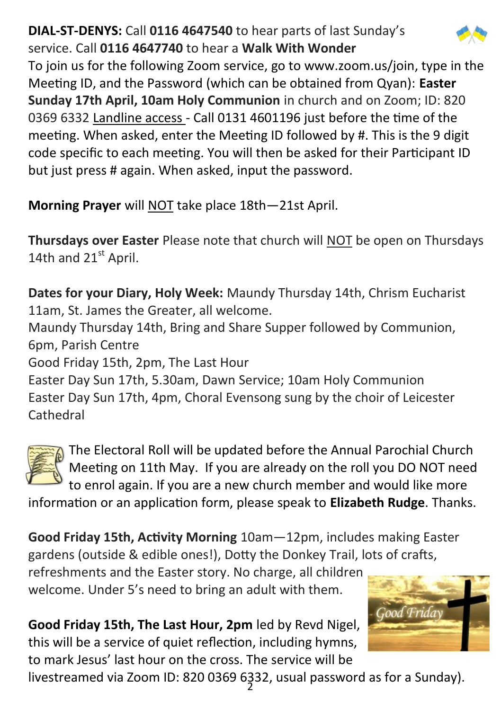## **DIAL-ST-DENYS:** Call **0116 4647540** to hear parts of last Sunday's service. Call **0116 4647740** to hear a **Walk With Wonder**



To join us for the following Zoom service, go to www.zoom.us/join, type in the Meeting ID, and the Password (which can be obtained from Qyan): **Easter Sunday 17th April, 10am Holy Communion** in church and on Zoom; ID: 820 0369 6332 Landline access - Call 0131 4601196 just before the time of the meeting. When asked, enter the Meeting ID followed by #. This is the 9 digit code specific to each meeting. You will then be asked for their Participant ID but just press # again. When asked, input the password.

**Morning Prayer** will NOT take place 18th—21st April.

**Thursdays over Easter** Please note that church will NOT be open on Thursdays 14th and 21st April.

**Dates for your Diary, Holy Week:** Maundy Thursday 14th, Chrism Eucharist 11am, St. James the Greater, all welcome.

Maundy Thursday 14th, Bring and Share Supper followed by Communion, 6pm, Parish Centre

Good Friday 15th, 2pm, The Last Hour

Easter Day Sun 17th, 5.30am, Dawn Service; 10am Holy Communion Easter Day Sun 17th, 4pm, Choral Evensong sung by the choir of Leicester **Cathedral** 



The Electoral Roll will be updated before the Annual Parochial Church Meeting on 11th May. If you are already on the roll you DO NOT need to enrol again. If you are a new church member and would like more

information or an application form, please speak to **Elizabeth Rudge**. Thanks.

**Good Friday 15th, Activity Morning** 10am—12pm, includes making Easter gardens (outside & edible ones!), Dotty the Donkey Trail, lots of crafts,

refreshments and the Easter story. No charge, all children welcome. Under 5's need to bring an adult with them.

**Good Friday 15th, The Last Hour, 2pm** led by Revd Nigel, this will be a service of quiet reflection, including hymns, to mark Jesus' last hour on the cross. The service will be



livestreamed via Zoom ID: 820 0369 6332, usual password as for a Sunday).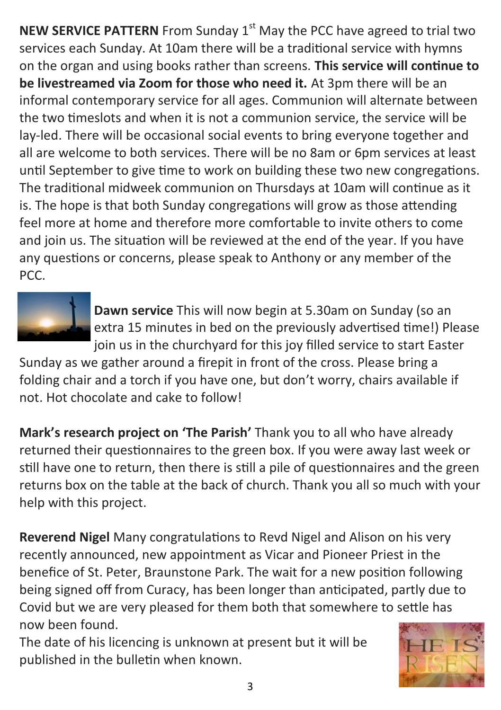**NEW SERVICE PATTERN** From Sunday 1<sup>st</sup> May the PCC have agreed to trial two services each Sunday. At 10am there will be a traditional service with hymns on the organ and using books rather than screens. **This service will continue to be livestreamed via Zoom for those who need it.** At 3pm there will be an informal contemporary service for all ages. Communion will alternate between the two timeslots and when it is not a communion service, the service will be lay-led. There will be occasional social events to bring everyone together and all are welcome to both services. There will be no 8am or 6pm services at least until September to give time to work on building these two new congregations. The traditional midweek communion on Thursdays at 10am will continue as it is. The hope is that both Sunday congregations will grow as those attending feel more at home and therefore more comfortable to invite others to come and join us. The situation will be reviewed at the end of the year. If you have any questions or concerns, please speak to Anthony or any member of the PCC.



**Dawn service** This will now begin at 5.30am on Sunday (so an extra 15 minutes in bed on the previously advertised time!) Please join us in the churchyard for this joy filled service to start Easter

Sunday as we gather around a firepit in front of the cross. Please bring a folding chair and a torch if you have one, but don't worry, chairs available if not. Hot chocolate and cake to follow!

**Mark's research project on 'The Parish'** Thank you to all who have already returned their questionnaires to the green box. If you were away last week or still have one to return, then there is still a pile of questionnaires and the green returns box on the table at the back of church. Thank you all so much with your help with this project.

**Reverend Nigel** Many congratulations to Revd Nigel and Alison on his very recently announced, new appointment as Vicar and Pioneer Priest in the benefice of St. Peter, Braunstone Park. The wait for a new position following being signed off from Curacy, has been longer than anticipated, partly due to Covid but we are very pleased for them both that somewhere to settle has now been found.

The date of his licencing is unknown at present but it will be published in the bulletin when known.